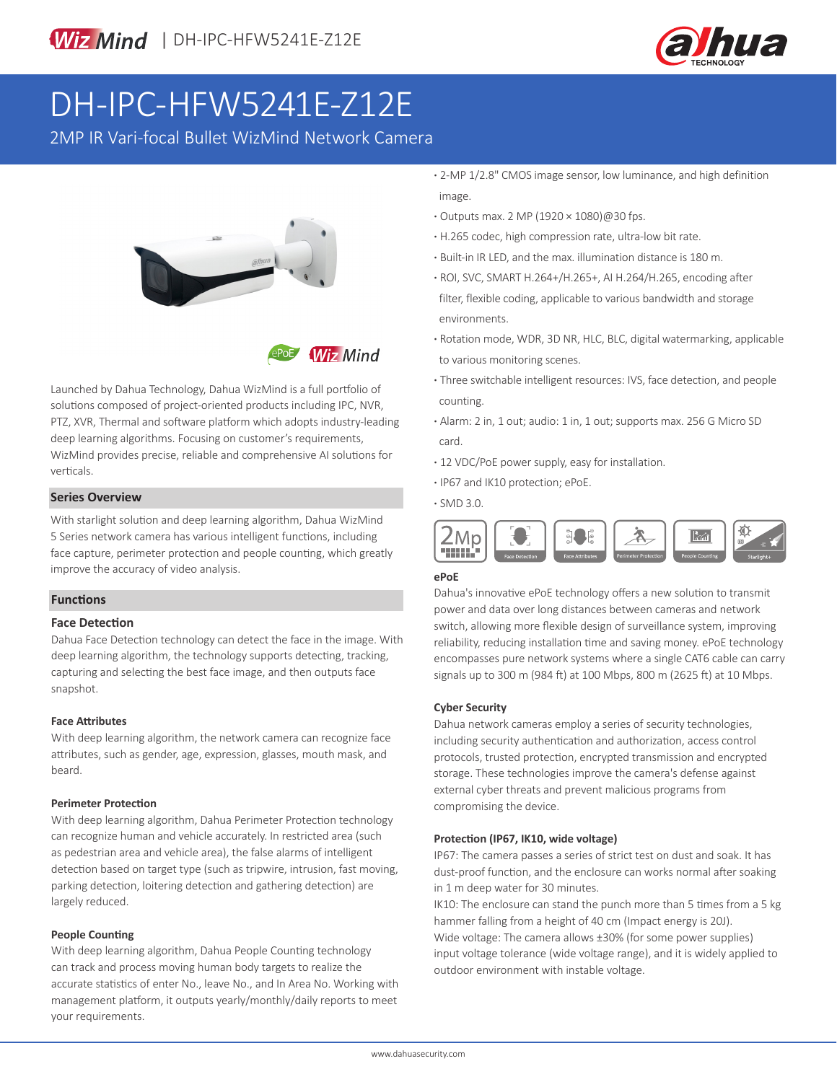

# DH-IPC-HFW5241E-Z12E

2MP IR Vari-focal Bullet WizMind Network Camera



**Wiz Mind** 

Launched by Dahua Technology, Dahua WizMind is a full portfolio of solutions composed of project-oriented products including IPC, NVR, PTZ, XVR, Thermal and software platform which adopts industry-leading deep learning algorithms. Focusing on customer's requirements, WizMind provides precise, reliable and comprehensive AI solutions for verticals.

## **· Series Overview And Series Overview And Series Overview And Series And Series And Series And Series And Series And Series And Series And Series And Series And Series And Series And Series And Series And Series And Serie**

With starlight solution and deep learning algorithm, Dahua WizMind 5 Series network camera has various intelligent functions, including face capture, perimeter protection and people counting, which greatly improve the accuracy of video analysis.

#### **Functions**

#### **Face Detection**

Dahua Face Detection technology can detect the face in the image. With deep learning algorithm, the technology supports detecting, tracking, capturing and selecting the best face image, and then outputs face snapshot.

#### **Face Attributes**

With deep learning algorithm, the network camera can recognize face attributes, such as gender, age, expression, glasses, mouth mask, and beard.

#### **Perimeter Protection**

With deep learning algorithm, Dahua Perimeter Protection technology can recognize human and vehicle accurately. In restricted area (such as pedestrian area and vehicle area), the false alarms of intelligent detection based on target type (such as tripwire, intrusion, fast moving, parking detection, loitering detection and gathering detection) are largely reduced.

#### **People Counting**

With deep learning algorithm, Dahua People Counting technology can track and process moving human body targets to realize the accurate statistics of enter No., leave No., and In Area No. Working with management platform, it outputs yearly/monthly/daily reports to meet your requirements.

- **·** 2-MP 1/2.8" CMOS image sensor, low luminance, and high definition image.
- **·** Outputs max. 2 MP (1920 × 1080)@30 fps.
- **·** H.265 codec, high compression rate, ultra-low bit rate.
- **·** Built-in IR LED, and the max. illumination distance is 180 m.
- **·** ROI, SVC, SMART H.264+/H.265+, AI H.264/H.265, encoding after filter, flexible coding, applicable to various bandwidth and storage environments.
- **·** Rotation mode, WDR, 3D NR, HLC, BLC, digital watermarking, applicable to various monitoring scenes.
- **·** Three switchable intelligent resources: IVS, face detection, and people counting.
- **·** Alarm: 2 in, 1 out; audio: 1 in, 1 out; supports max. 256 G Micro SD card.
- **·** 12 VDC/PoE power supply, easy for installation.
- **·** IP67 and IK10 protection; ePoE.
- 



### **ePoE**

Dahua's innovative ePoE technology offers a new solution to transmit power and data over long distances between cameras and network switch, allowing more flexible design of surveillance system, improving reliability, reducing installation time and saving money. ePoE technology encompasses pure network systems where a single CAT6 cable can carry signals up to 300 m (984 ft) at 100 Mbps, 800 m (2625 ft) at 10 Mbps.

#### **Cyber Security**

Dahua network cameras employ a series of security technologies, including security authentication and authorization, access control protocols, trusted protection, encrypted transmission and encrypted storage. These technologies improve the camera's defense against external cyber threats and prevent malicious programs from compromising the device.

#### **Protection (IP67, IK10, wide voltage)**

IP67: The camera passes a series of strict test on dust and soak. It has dust-proof function, and the enclosure can works normal after soaking in 1 m deep water for 30 minutes.

IK10: The enclosure can stand the punch more than 5 times from a 5 kg hammer falling from a height of 40 cm (Impact energy is 20J). Wide voltage: The camera allows ±30% (for some power supplies) input voltage tolerance (wide voltage range), and it is widely applied to outdoor environment with instable voltage.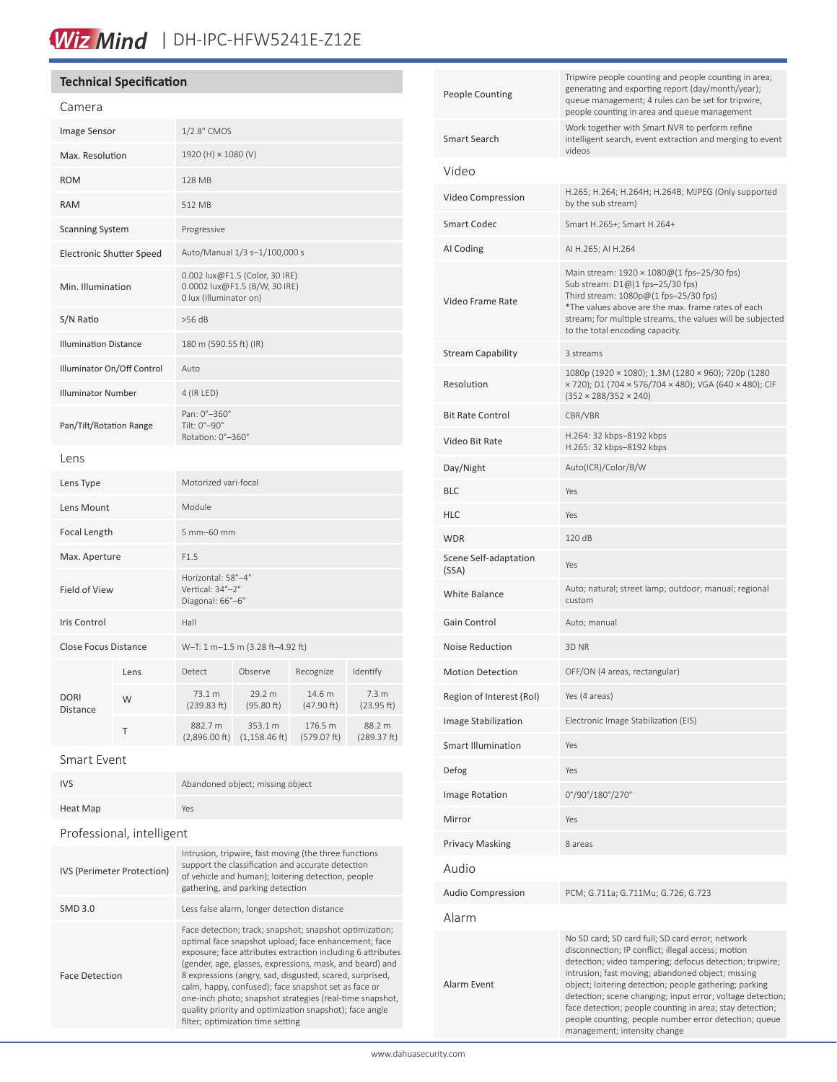# Wiz Mind | DH-IPC-HFW5241E-Z12E

# **Technical Specification**

| Camera                          |      |                                                                                           |                                     |                        |                                |  |
|---------------------------------|------|-------------------------------------------------------------------------------------------|-------------------------------------|------------------------|--------------------------------|--|
| <b>Image Sensor</b>             |      | 1/2.8" CMOS                                                                               |                                     |                        |                                |  |
| Max. Resolution                 |      | 1920 (H) × 1080 (V)                                                                       |                                     |                        |                                |  |
| <b>ROM</b>                      |      | 128 MB                                                                                    |                                     |                        |                                |  |
| <b>RAM</b>                      |      | 512 MB                                                                                    |                                     |                        |                                |  |
| <b>Scanning System</b>          |      | Progressive                                                                               |                                     |                        |                                |  |
| <b>Electronic Shutter Speed</b> |      | Auto/Manual 1/3 s-1/100,000 s                                                             |                                     |                        |                                |  |
| Min. Illumination               |      | 0.002 lux@F1.5 (Color, 30 IRE)<br>0.0002 lux@F1.5 (B/W, 30 IRE)<br>0 lux (Illuminator on) |                                     |                        |                                |  |
| S/N Ratio                       |      | >56 dB                                                                                    |                                     |                        |                                |  |
| <b>Illumination Distance</b>    |      | 180 m (590.55 ft) (IR)                                                                    |                                     |                        |                                |  |
| Illuminator On/Off Control      |      | Auto                                                                                      |                                     |                        |                                |  |
| <b>Illuminator Number</b>       |      | 4 (IR LED)                                                                                |                                     |                        |                                |  |
| Pan/Tilt/Rotation Range         |      | Pan: 0°-360°<br>Tilt: 0°-90°<br>Rotation: 0°-360°                                         |                                     |                        |                                |  |
| Lens                            |      |                                                                                           |                                     |                        |                                |  |
| Lens Type                       |      | Motorized vari-focal                                                                      |                                     |                        |                                |  |
| Lens Mount                      |      | Module                                                                                    |                                     |                        |                                |  |
| Focal Length                    |      | 5 mm-60 mm                                                                                |                                     |                        |                                |  |
| Max. Aperture                   |      | F1.5                                                                                      |                                     |                        |                                |  |
| Field of View                   |      | Horizontal: 58°-4°<br>Vertical: 34°-2°<br>Diagonal: 66°-6°                                |                                     |                        |                                |  |
| <b>Iris Control</b>             |      | Hall                                                                                      |                                     |                        |                                |  |
| Close Focus Distance            |      | W-T: 1 m-1.5 m (3.28 ft-4.92 ft)                                                          |                                     |                        |                                |  |
|                                 | Lens | Detect                                                                                    | Observe                             | Recognize              | Identify                       |  |
| <b>DORI</b><br><b>Distance</b>  | W    | 73.1 m<br>(239.83 ft)                                                                     | 29.2 m<br>(95.80 ft)                | 14.6 m<br>(47.90 ft)   | 7.3 <sub>m</sub><br>(23.95 ft) |  |
|                                 | T    | 882.7 m<br>(2,896.00 ft)                                                                  | 353.1 m<br>$(1, 158.46 \text{ ft})$ | 176.5 m<br>(579.07 ft) | 88.2 m<br>(289.37 ft)          |  |
|                                 |      |                                                                                           |                                     |                        |                                |  |

#### Smart Event

| Abandoned object; missing object                                                                                                                                                                                                                                                                                                                                                                                                                                                                                           |  |  |  |  |
|----------------------------------------------------------------------------------------------------------------------------------------------------------------------------------------------------------------------------------------------------------------------------------------------------------------------------------------------------------------------------------------------------------------------------------------------------------------------------------------------------------------------------|--|--|--|--|
| Yes                                                                                                                                                                                                                                                                                                                                                                                                                                                                                                                        |  |  |  |  |
| Professional, intelligent                                                                                                                                                                                                                                                                                                                                                                                                                                                                                                  |  |  |  |  |
| Intrusion, tripwire, fast moving (the three functions<br>support the classification and accurate detection<br>of vehicle and human); loitering detection, people<br>gathering, and parking detection                                                                                                                                                                                                                                                                                                                       |  |  |  |  |
| Less false alarm, longer detection distance                                                                                                                                                                                                                                                                                                                                                                                                                                                                                |  |  |  |  |
| Face detection; track; snapshot; snapshot optimization;<br>optimal face snapshot upload; face enhancement; face<br>exposure; face attributes extraction including 6 attributes<br>(gender, age, glasses, expressions, mask, and beard) and<br>8 expressions (angry, sad, disgusted, scared, surprised,<br>calm, happy, confused); face snapshot set as face or<br>one-inch photo; snapshot strategies (real-time snapshot,<br>quality priority and optimization snapshot); face angle<br>filter; optimization time setting |  |  |  |  |
|                                                                                                                                                                                                                                                                                                                                                                                                                                                                                                                            |  |  |  |  |

| <b>People Counting</b>         | Tripwire people counting and people counting in area;<br>generating and exporting report (day/month/year);<br>queue management; 4 rules can be set for tripwire,<br>people counting in area and queue management                                                                                                                                                                                                                                                                                     |  |  |
|--------------------------------|------------------------------------------------------------------------------------------------------------------------------------------------------------------------------------------------------------------------------------------------------------------------------------------------------------------------------------------------------------------------------------------------------------------------------------------------------------------------------------------------------|--|--|
| Smart Search                   | Work together with Smart NVR to perform refine<br>intelligent search, event extraction and merging to event<br>videos                                                                                                                                                                                                                                                                                                                                                                                |  |  |
| Video                          |                                                                                                                                                                                                                                                                                                                                                                                                                                                                                                      |  |  |
| Video Compression              | H.265; H.264; H.264H; H.264B; MJPEG (Only supported<br>by the sub stream)                                                                                                                                                                                                                                                                                                                                                                                                                            |  |  |
| <b>Smart Codec</b>             | Smart H.265+; Smart H.264+                                                                                                                                                                                                                                                                                                                                                                                                                                                                           |  |  |
| AI Coding                      | AI H.265; AI H.264                                                                                                                                                                                                                                                                                                                                                                                                                                                                                   |  |  |
| Video Frame Rate               | Main stream: $1920 \times 1080@(1 \text{fps} - 25/30 \text{fps})$<br>Sub stream: D1@(1 fps-25/30 fps)<br>Third stream: 1080p@(1 fps-25/30 fps)<br>*The values above are the max. frame rates of each<br>stream; for multiple streams, the values will be subjected<br>to the total encoding capacity.                                                                                                                                                                                                |  |  |
| <b>Stream Capability</b>       | 3 streams                                                                                                                                                                                                                                                                                                                                                                                                                                                                                            |  |  |
| Resolution                     | 1080p (1920 × 1080); 1.3M (1280 × 960); 720p (1280<br>× 720); D1 (704 × 576/704 × 480); VGA (640 × 480); CIF<br>$(352 \times 288/352 \times 240)$                                                                                                                                                                                                                                                                                                                                                    |  |  |
| <b>Bit Rate Control</b>        | CBR/VBR                                                                                                                                                                                                                                                                                                                                                                                                                                                                                              |  |  |
| Video Bit Rate                 | H.264: 32 kbps-8192 kbps<br>H.265: 32 kbps-8192 kbps                                                                                                                                                                                                                                                                                                                                                                                                                                                 |  |  |
| Day/Night                      | Auto(ICR)/Color/B/W                                                                                                                                                                                                                                                                                                                                                                                                                                                                                  |  |  |
| BLC                            | Yes                                                                                                                                                                                                                                                                                                                                                                                                                                                                                                  |  |  |
| HLC                            | Yes                                                                                                                                                                                                                                                                                                                                                                                                                                                                                                  |  |  |
| WDR                            | 120 dB                                                                                                                                                                                                                                                                                                                                                                                                                                                                                               |  |  |
| Scene Self-adaptation<br>(SSA) | Yes                                                                                                                                                                                                                                                                                                                                                                                                                                                                                                  |  |  |
| <b>White Balance</b>           | Auto; natural; street lamp; outdoor; manual; regional<br>custom                                                                                                                                                                                                                                                                                                                                                                                                                                      |  |  |
| Gain Control                   | Auto; manual                                                                                                                                                                                                                                                                                                                                                                                                                                                                                         |  |  |
| <b>Noise Reduction</b>         | 3D NR                                                                                                                                                                                                                                                                                                                                                                                                                                                                                                |  |  |
| <b>Motion Detection</b>        | OFF/ON (4 areas, rectangular)                                                                                                                                                                                                                                                                                                                                                                                                                                                                        |  |  |
| Region of Interest (RoI)       | Yes (4 areas)                                                                                                                                                                                                                                                                                                                                                                                                                                                                                        |  |  |
| Image Stabilization            | Electronic Image Stabilization (EIS)                                                                                                                                                                                                                                                                                                                                                                                                                                                                 |  |  |
| <b>Smart Illumination</b>      | Yes                                                                                                                                                                                                                                                                                                                                                                                                                                                                                                  |  |  |
| Defog                          | Yes                                                                                                                                                                                                                                                                                                                                                                                                                                                                                                  |  |  |
| <b>Image Rotation</b>          | 0°/90°/180°/270°                                                                                                                                                                                                                                                                                                                                                                                                                                                                                     |  |  |
| Mirror                         | Yes                                                                                                                                                                                                                                                                                                                                                                                                                                                                                                  |  |  |
| <b>Privacy Masking</b>         | 8 areas                                                                                                                                                                                                                                                                                                                                                                                                                                                                                              |  |  |
| Audio                          |                                                                                                                                                                                                                                                                                                                                                                                                                                                                                                      |  |  |
| <b>Audio Compression</b>       | PCM; G.711a; G.711Mu; G.726; G.723                                                                                                                                                                                                                                                                                                                                                                                                                                                                   |  |  |
| Alarm                          |                                                                                                                                                                                                                                                                                                                                                                                                                                                                                                      |  |  |
| Alarm Event                    | No SD card; SD card full; SD card error; network<br>disconnection; IP conflict; illegal access; motion<br>detection; video tampering; defocus detection; tripwire;<br>intrusion; fast moving; abandoned object; missing<br>object; loitering detection; people gathering; parking<br>detection; scene changing; input error; voltage detection;<br>face detection; people counting in area; stay detection;<br>people counting; people number error detection; queue<br>management; intensity change |  |  |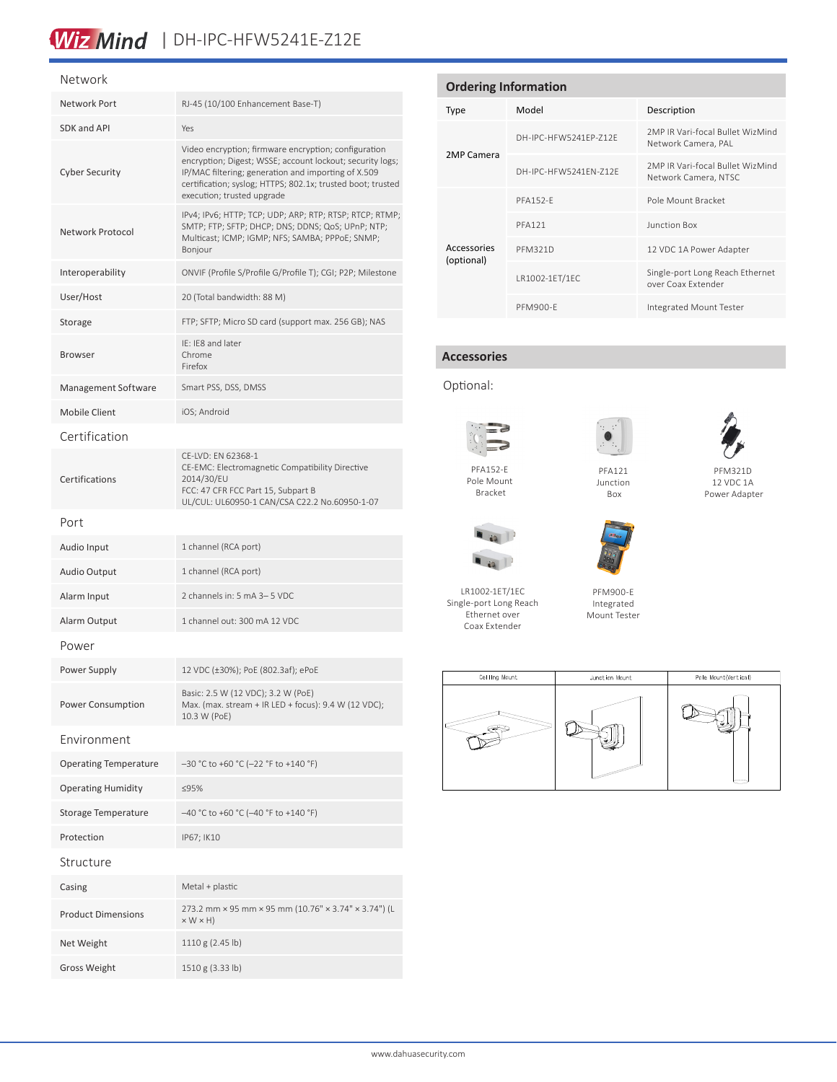# Wiz Mind | DH-IPC-HFW5241E-Z12E

#### Network

| Network Port                 | RJ-45 (10/100 Enhancement Base-T)                                                                                                                                                                                                                                     |  |  |  |
|------------------------------|-----------------------------------------------------------------------------------------------------------------------------------------------------------------------------------------------------------------------------------------------------------------------|--|--|--|
| SDK and API                  | Yes                                                                                                                                                                                                                                                                   |  |  |  |
| <b>Cyber Security</b>        | Video encryption; firmware encryption; configuration<br>encryption; Digest; WSSE; account lockout; security logs;<br>IP/MAC filtering; generation and importing of X.509<br>certification; syslog; HTTPS; 802.1x; trusted boot; trusted<br>execution; trusted upgrade |  |  |  |
| Network Protocol             | IPv4; IPv6; HTTP; TCP; UDP; ARP; RTP; RTSP; RTCP; RTMP;<br>SMTP; FTP; SFTP; DHCP; DNS; DDNS; QoS; UPnP; NTP;<br>Multicast; ICMP; IGMP; NFS; SAMBA; PPPoE; SNMP;<br>Bonjour                                                                                            |  |  |  |
| Interoperability             | ONVIF (Profile S/Profile G/Profile T); CGI; P2P; Milestone                                                                                                                                                                                                            |  |  |  |
| User/Host                    | 20 (Total bandwidth: 88 M)                                                                                                                                                                                                                                            |  |  |  |
| Storage                      | FTP; SFTP; Micro SD card (support max. 256 GB); NAS                                                                                                                                                                                                                   |  |  |  |
| <b>Browser</b>               | IE: IE8 and later<br>Chrome<br>Firefox                                                                                                                                                                                                                                |  |  |  |
| Management Software          | Smart PSS, DSS, DMSS                                                                                                                                                                                                                                                  |  |  |  |
| Mobile Client                | iOS; Android                                                                                                                                                                                                                                                          |  |  |  |
| Certification                |                                                                                                                                                                                                                                                                       |  |  |  |
| Certifications               | CE-LVD: EN 62368-1<br>CE-EMC: Electromagnetic Compatibility Directive<br>2014/30/EU<br>FCC: 47 CFR FCC Part 15, Subpart B<br>UL/CUL: UL60950-1 CAN/CSA C22.2 No.60950-1-07                                                                                            |  |  |  |
| Port                         |                                                                                                                                                                                                                                                                       |  |  |  |
| Audio Input                  | 1 channel (RCA port)                                                                                                                                                                                                                                                  |  |  |  |
| <b>Audio Output</b>          | 1 channel (RCA port)                                                                                                                                                                                                                                                  |  |  |  |
| Alarm Input                  | 2 channels in: 5 mA 3-5 VDC                                                                                                                                                                                                                                           |  |  |  |
| Alarm Output                 | 1 channel out: 300 mA 12 VDC                                                                                                                                                                                                                                          |  |  |  |
| Power                        |                                                                                                                                                                                                                                                                       |  |  |  |
| Power Supply                 | 12 VDC (±30%); PoE (802.3af); ePoE                                                                                                                                                                                                                                    |  |  |  |
| Power Consumption            | Basic: 2.5 W (12 VDC); 3.2 W (PoE)<br>Max. (max. stream + IR LED + focus): 9.4 W (12 VDC);<br>10.3 W (PoE)                                                                                                                                                            |  |  |  |
| Environment                  |                                                                                                                                                                                                                                                                       |  |  |  |
| <b>Operating Temperature</b> | -30 °C to +60 °C (-22 °F to +140 °F)                                                                                                                                                                                                                                  |  |  |  |
| <b>Operating Humidity</b>    | ≤95%                                                                                                                                                                                                                                                                  |  |  |  |
| Storage Temperature          | -40 °C to +60 °C (-40 °F to +140 °F)                                                                                                                                                                                                                                  |  |  |  |
| Protection                   | IP67; IK10                                                                                                                                                                                                                                                            |  |  |  |
| Structure                    |                                                                                                                                                                                                                                                                       |  |  |  |
| Casing                       | Metal + plastic                                                                                                                                                                                                                                                       |  |  |  |
| <b>Product Dimensions</b>    | 273.2 mm × 95 mm × 95 mm (10.76" × 3.74" × 3.74") (L<br>$\times$ W $\times$ H)                                                                                                                                                                                        |  |  |  |
| Net Weight                   | 1110 g (2.45 lb)                                                                                                                                                                                                                                                      |  |  |  |
| <b>Gross Weight</b>          | 1510 g (3.33 lb)                                                                                                                                                                                                                                                      |  |  |  |

| <b>Ordering Information</b> |                       |                                                          |  |  |
|-----------------------------|-----------------------|----------------------------------------------------------|--|--|
| Type                        | Model                 | Description                                              |  |  |
|                             | DH-IPC-HEW5241FP-712F | 2MP IR Vari-focal Bullet WizMind<br>Network Camera, PAL  |  |  |
| 2MP Camera                  | DH-IPC-HFW5241FN-712F | 2MP IR Vari-focal Bullet WizMind<br>Network Camera, NTSC |  |  |
|                             | <b>PFA152-F</b>       | Pole Mount Bracket                                       |  |  |
|                             | <b>PFA121</b>         | Junction Box                                             |  |  |
| Accessories<br>(optional)   | <b>PFM321D</b>        | 12 VDC 1A Power Adapter                                  |  |  |
|                             | LR1002-1ET/1EC        | Single-port Long Reach Ethernet<br>over Coax Extender    |  |  |
|                             | <b>PFM900-E</b>       | Integrated Mount Tester                                  |  |  |

## **Accessories**

Optional:





Pole Mount Bracket



LR1002-1ET/1EC Single-port Long Reach Ethernet over Coax Extender



Junction



PFM900-E Integrated Mount Tester



12 VDC 1A Power Adapter